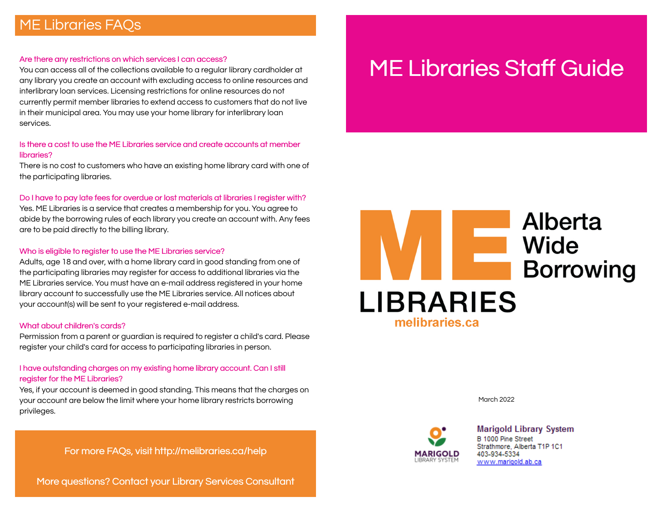# ME Libraries FAQs

#### Are there any restrictions on which services I can access?

You can access all of the collections available to a regular library cardholder at any library you create an account with excluding access to online resources and interlibrary loan services. Licensing restrictions for online resources do not currently permit member libraries to extend access to customers that do not live in their municipal area. You may use your home library for interlibrary loan services.

#### Is there a cost to use the ME Libraries service and create accounts at member libraries?

There is no cost to customers who have an existing home library card with one of the participating libraries.

#### Do I have to pay late fees for overdue or lost materials at libraries I register with?

Yes. ME Libraries is a service that creates a membership for you. You agree to abide by the borrowing rules of each library you create an account with. Any fees are to be paid directly to the billing library.

#### Who is eligible to register to use the ME Libraries service?

Adults, age 18 and over, with a home library card in good standing from one of the participating libraries may register for access to additional libraries via the ME Libraries service. You must have an e-mail address registered in your home library account to successfully use the ME Libraries service. All notices about your account(s) will be sent to your registered e-mail address.

#### What about children's cards?

Permission from a parent or guardian is required to register a child's card. Please register your child's card for access to participating libraries in person.

### I have outstanding charges on my existing home library account. Can I still register for the ME Libraries?

Yes, if your account is deemed in good standing. This means that the charges on your account are below the limit where your home library restricts borrowing privileges.

For more FAQs, visit http://melibraries.ca/help

More questions? Contact your Library Services Consultant

# ME Libraries Staff Guide



March 2022



**Marigold Library System** B 1000 Pine Street Strathmore, Alberta T1P 1C1 403-934-5334 www.marigold.ab.ca